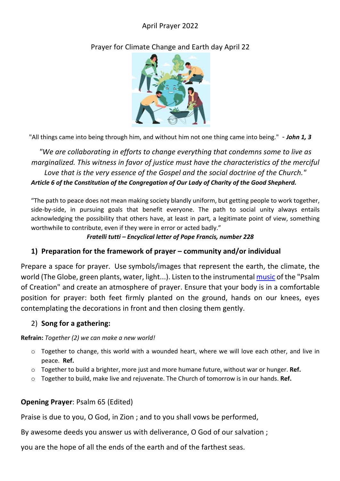## April Prayer 2022

Prayer for Climate Change and Earth day April 22



"All things came into being through him, and without him not one thing came into being." - *John 1, 3*

*"We are collaborating in efforts to change everything that condemns some to live as marginalized. This witness in favor of justice must have the characteristics of the merciful Love that is the very essence of the Gospel and the social doctrine of the Church." Article 6 of the Constitution of the Congregation of Our Lady of Charity of the Good Shepherd.*

"The path to peace does not mean making society blandly uniform, but getting people to work together, side-by-side, in pursuing goals that benefit everyone. The path to social unity always entails acknowledging the possibility that others have, at least in part, a legitimate point of view, something worthwhile to contribute, even if they were in error or acted badly."

*Fratelli tutti – Encyclical letter of Pope Francis, number 228*

### **1) Preparation for the framework of prayer – community and/or individual**

Prepare a space for prayer. Use symbols/images that represent the earth, the climate, the world (The Globe, green plants, water, light...). Listen to the instrumental music of the "Psalm of Creation" and create an atmosphere of prayer. Ensure that your body is in a comfortable position for prayer: both feet firmly planted on the ground, hands on our knees, eyes contemplating the decorations in front and then closing them gently.

### 2) **Song for a gathering:**

**Refrain:** *Together (2) we can make a new world!*

- $\circ$  Together to change, this world with a wounded heart, where we will love each other, and live in peace. **Ref.**
- o Together to build a brighter, more just and more humane future, without war or hunger. **Ref.**
- o Together to build, make live and rejuvenate. The Church of tomorrow is in our hands. **Ref.**

# **Opening Prayer**: Psalm 65 (Edited)

Praise is due to you, O God, in Zion ; and to you shall vows be performed,

By awesome deeds you answer us with deliverance, O God of our salvation ;

you are the hope of all the ends of the earth and of the farthest seas.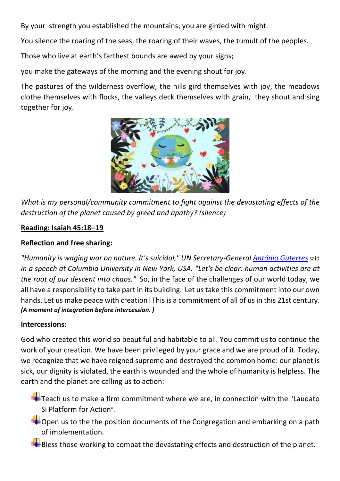By your strength you established the mountains; you are girded with might.

You silence the roaring of the seas, the roaring of their waves, the tumult of the peoples.

Those who live at earth's farthest bounds are awed by your signs;

you make the gateways of the morning and the evening shout for joy.

The pastures of the wilderness overflow, the hills gird themselves with joy, the meadows clothe themselves with flocks, the valleys deck themselves with grain, they shout and sing together for joy.



*What is my personal/community commitment to fight against the devastating effects of the destruction of the planet caused by greed and apathy? (silence)* 

### **Reading: Isaiah 45:18–19**

## **Reflection and free sharing:**

*"Humanity is waging war on nature. It's suicidal," UN Secretary-General António Guterres* said *in a speech at Columbia University in New York, USA. "Let's be clear: human activities are at the root of our descent into chaos."* So, in the face of the challenges of our world today, we all have a responsibility to take part in its building. Let us take this commitment into our own hands. Let us make peace with creation! This is a commitment of all of us in this 21st century. *(A moment of integration before intercession. )*

### **Intercessions:**

God who created this world so beautiful and habitable to all. You commit usto continue the work of your creation. We have been privileged by your grace and we are proud of it. Today, we recognize that we have reigned supreme and destroyed the common home: our planet is sick, our dignity is violated, the earth is wounded and the whole of humanity is helpless. The earth and the planet are calling us to action:

 $T+$  Teach us to make a firm commitment where we are, in connection with the "Laudato" Si Platform for Action".

 $\blacktriangleright$  Open us to the the position documents of the Congregation and embarking on a path of implementation.

 $\blacktriangleright$ Bless those working to combat the devastating effects and destruction of the planet.